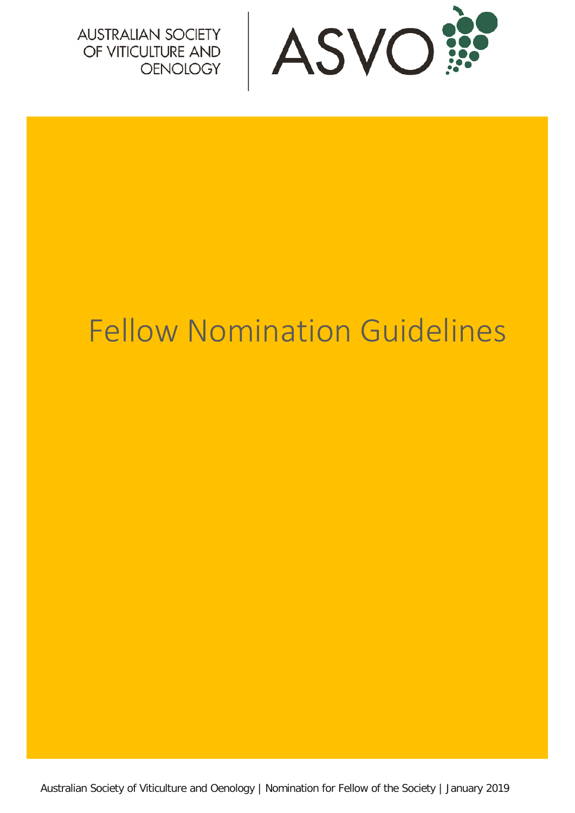

# Fellow Nomination Guidelines

Australian Society of Viticulture and Oenology | Nomination for Fellow of the Society | January 2019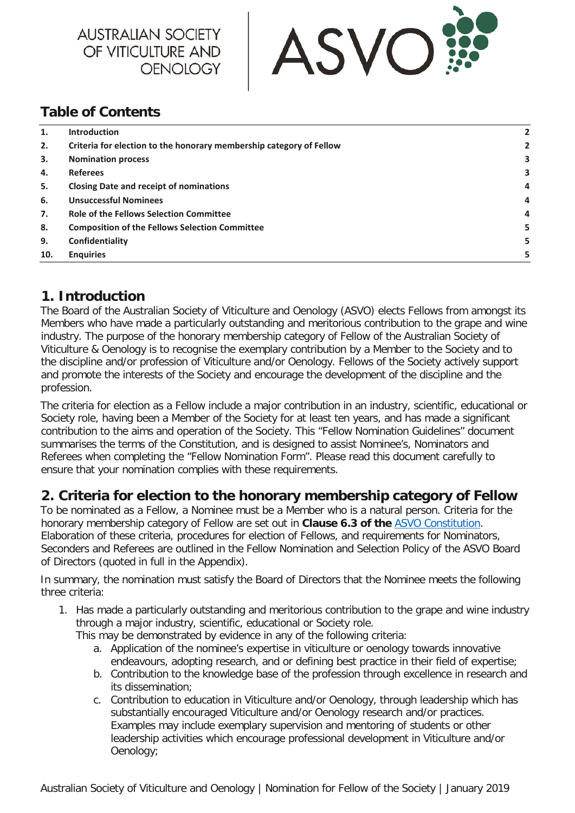



### **Table of Contents**

| 1.  | <b>Introduction</b>                                                 |   |
|-----|---------------------------------------------------------------------|---|
| 2.  | Criteria for election to the honorary membership category of Fellow |   |
| 3.  | <b>Nomination process</b>                                           |   |
| 4.  | <b>Referees</b>                                                     | з |
| 5.  | <b>Closing Date and receipt of nominations</b>                      | 4 |
| 6.  | <b>Unsuccessful Nominees</b>                                        | 4 |
| 7.  | <b>Role of the Fellows Selection Committee</b>                      | 4 |
| 8.  | <b>Composition of the Fellows Selection Committee</b>               |   |
| 9.  | Confidentiality                                                     |   |
| 10. | <b>Enquiries</b>                                                    | 5 |

#### <span id="page-1-0"></span>**1. Introduction**

The Board of the Australian Society of Viticulture and Oenology (ASVO) elects Fellows from amongst its Members who have made a particularly outstanding and meritorious contribution to the grape and wine industry. The purpose of the honorary membership category of Fellow of the Australian Society of Viticulture & Oenology is to recognise the exemplary contribution by a Member to the Society and to the discipline and/or profession of Viticulture and/or Oenology. Fellows of the Society actively support and promote the interests of the Society and encourage the development of the discipline and the profession.

The criteria for election as a Fellow include a major contribution in an industry, scientific, educational or Society role, having been a Member of the Society for at least ten years, and has made a significant contribution to the aims and operation of the Society. This "Fellow Nomination Guidelines" document summarises the terms of the Constitution, and is designed to assist Nominee's, Nominators and Referees when completing the "Fellow Nomination Form". Please read this document carefully to ensure that your nomination complies with these requirements.

#### <span id="page-1-1"></span>**2. Criteria for election to the honorary membership category of Fellow**

To be nominated as a Fellow, a Nominee must be a Member who is a natural person. Criteria for the honorary membership category of Fellow are set out in **Clause 6.3 of the** ASVO [Constitution.](https://www.asvo.com.au/about-the-society/constitution/) Elaboration of these criteria, procedures for election of Fellows, and requirements for Nominators, Seconders and Referees are outlined in the Fellow Nomination and Selection Policy of the ASVO Board of Directors (quoted in full in the Appendix).

In summary, the nomination must satisfy the Board of Directors that the Nominee meets the following three criteria:

- 1. Has made a particularly outstanding and meritorious contribution to the grape and wine industry through a major industry, scientific, educational or Society role. This may be demonstrated by evidence in any of the following criteria:
	- a. Application of the nominee's expertise in viticulture or oenology towards innovative endeavours, adopting research, and or defining best practice in their field of expertise;
	- b. Contribution to the knowledge base of the profession through excellence in research and its dissemination;
	- c. Contribution to education in Viticulture and/or Oenology, through leadership which has substantially encouraged Viticulture and/or Oenology research and/or practices. Examples may include exemplary supervision and mentoring of students or other leadership activities which encourage professional development in Viticulture and/or Oenology;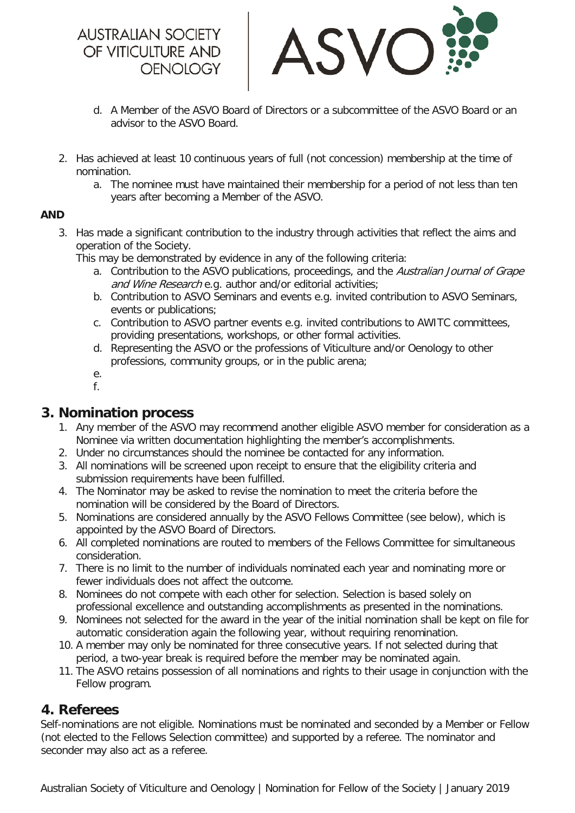

- d. A Member of the ASVO Board of Directors or a subcommittee of the ASVO Board or an advisor to the ASVO Board.
- 2. Has achieved at least 10 continuous years of full (not concession) membership at the time of nomination.
	- a. The nominee must have maintained their membership for a period of not less than ten years after becoming a Member of the ASVO.

#### **AND**

3. Has made a significant contribution to the industry through activities that reflect the aims and operation of the Society.

This may be demonstrated by evidence in any of the following criteria:

- a. Contribution to the ASVO publications, proceedings, and the Australian Journal of Grape and Wine Research e.g. author and/or editorial activities;
- b. Contribution to ASVO Seminars and events e.g. invited contribution to ASVO Seminars, events or publications;
- c. Contribution to ASVO partner events e.g. invited contributions to AWITC committees, providing presentations, workshops, or other formal activities.
- d. Representing the ASVO or the professions of Viticulture and/or Oenology to other professions, community groups, or in the public arena;
- e.
- f.

#### <span id="page-2-0"></span>**3. Nomination process**

- 1. Any member of the ASVO may recommend another eligible ASVO member for consideration as a Nominee via written documentation highlighting the member's accomplishments.
- 2. Under no circumstances should the nominee be contacted for any information.
- 3. All nominations will be screened upon receipt to ensure that the eligibility criteria and submission requirements have been fulfilled.
- 4. The Nominator may be asked to revise the nomination to meet the criteria before the nomination will be considered by the Board of Directors.
- 5. Nominations are considered annually by the ASVO Fellows Committee (see below), which is appointed by the ASVO Board of Directors.
- 6. All completed nominations are routed to members of the Fellows Committee for simultaneous consideration.
- 7. There is no limit to the number of individuals nominated each year and nominating more or fewer individuals does not affect the outcome.
- 8. Nominees do not compete with each other for selection. Selection is based solely on professional excellence and outstanding accomplishments as presented in the nominations.
- 9. Nominees not selected for the award in the year of the initial nomination shall be kept on file for automatic consideration again the following year, without requiring renomination.
- 10. A member may only be nominated for three consecutive years. If not selected during that period, a two-year break is required before the member may be nominated again.
- 11. The ASVO retains possession of all nominations and rights to their usage in conjunction with the Fellow program.

#### <span id="page-2-1"></span>**4. Referees**

Self-nominations are not eligible. Nominations must be nominated and seconded by a Member or Fellow (not elected to the Fellows Selection committee) and supported by a referee. The nominator and seconder may also act as a referee.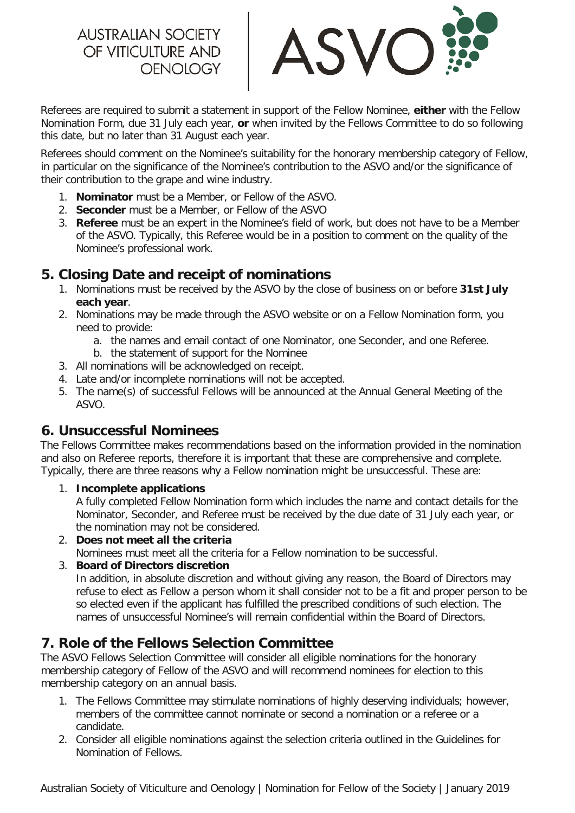ASVC

Referees are required to submit a statement in support of the Fellow Nominee, **either** with the Fellow Nomination Form, due 31 July each year, **or** when invited by the Fellows Committee to do so following this date, but no later than 31 August each year.

Referees should comment on the Nominee's suitability for the honorary membership category of Fellow, in particular on the significance of the Nominee's contribution to the ASVO and/or the significance of their contribution to the grape and wine industry.

- 1. **Nominator** must be a Member, or Fellow of the ASVO.
- 2. **Seconder** must be a Member, or Fellow of the ASVO
- 3. **Referee** must be an expert in the Nominee's field of work, but does not have to be a Member of the ASVO. Typically, this Referee would be in a position to comment on the quality of the Nominee's professional work.

#### <span id="page-3-0"></span>**5. Closing Date and receipt of nominations**

- 1. Nominations must be received by the ASVO by the close of business on or before **31st July each year**.
- 2. Nominations may be made through the ASVO website or on a Fellow Nomination form, you need to provide:
	- a. the names and email contact of one Nominator, one Seconder, and one Referee.
	- b. the statement of support for the Nominee
- 3. All nominations will be acknowledged on receipt.
- 4. Late and/or incomplete nominations will not be accepted.
- 5. The name(s) of successful Fellows will be announced at the Annual General Meeting of the ASVO.

#### <span id="page-3-1"></span>**6. Unsuccessful Nominees**

The Fellows Committee makes recommendations based on the information provided in the nomination and also on Referee reports, therefore it is important that these are comprehensive and complete. Typically, there are three reasons why a Fellow nomination might be unsuccessful. These are:

1. **Incomplete applications**

A fully completed Fellow Nomination form which includes the name and contact details for the Nominator, Seconder, and Referee must be received by the due date of 31 July each year, or the nomination may not be considered.

- 2. **Does not meet all the criteria** Nominees must meet all the criteria for a Fellow nomination to be successful.
- 3. **Board of Directors discretion**

In addition, in absolute discretion and without giving any reason, the Board of Directors may refuse to elect as Fellow a person whom it shall consider not to be a fit and proper person to be so elected even if the applicant has fulfilled the prescribed conditions of such election. The names of unsuccessful Nominee's will remain confidential within the Board of Directors.

#### <span id="page-3-2"></span>**7. Role of the Fellows Selection Committee**

The ASVO Fellows Selection Committee will consider all eligible nominations for the honorary membership category of Fellow of the ASVO and will recommend nominees for election to this membership category on an annual basis.

- 1. The Fellows Committee may stimulate nominations of highly deserving individuals; however, members of the committee cannot nominate or second a nomination or a referee or a candidate.
- 2. Consider all eligible nominations against the selection criteria outlined in the Guidelines for Nomination of Fellows.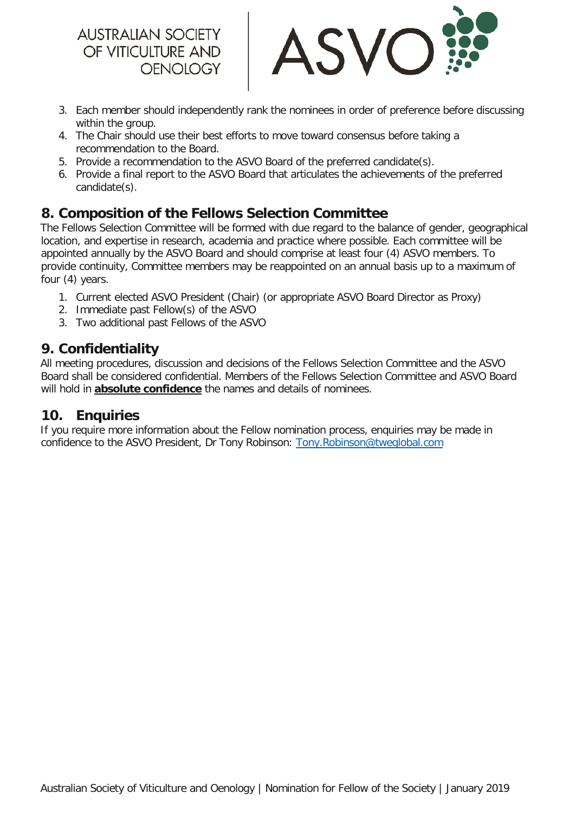

- 3. Each member should independently rank the nominees in order of preference before discussing within the group.
- 4. The Chair should use their best efforts to move toward consensus before taking a recommendation to the Board.
- 5. Provide a recommendation to the ASVO Board of the preferred candidate(s).
- 6. Provide a final report to the ASVO Board that articulates the achievements of the preferred candidate(s).

## <span id="page-4-0"></span>**8. Composition of the Fellows Selection Committee**

The Fellows Selection Committee will be formed with due regard to the balance of gender, geographical location, and expertise in research, academia and practice where possible. Each committee will be appointed annually by the ASVO Board and should comprise at least four (4) ASVO members. To provide continuity, Committee members may be reappointed on an annual basis up to a maximum of four (4) years.

- 1. Current elected ASVO President (Chair) (or appropriate ASVO Board Director as Proxy)
- 2. Immediate past Fellow(s) of the ASVO
- 3. Two additional past Fellows of the ASVO

#### <span id="page-4-1"></span>**9. Confidentiality**

All meeting procedures, discussion and decisions of the Fellows Selection Committee and the ASVO Board shall be considered confidential. Members of the Fellows Selection Committee and ASVO Board will hold in **absolute confidence** the names and details of nominees.

#### <span id="page-4-2"></span>**10. Enquiries**

If you require more information about the Fellow nomination process, enquiries may be made in confidence to the ASVO President, Dr Tony Robinson: [Tony.Robinson@tweglobal.com](mailto:Tony.Robinson@tweglobal.com)